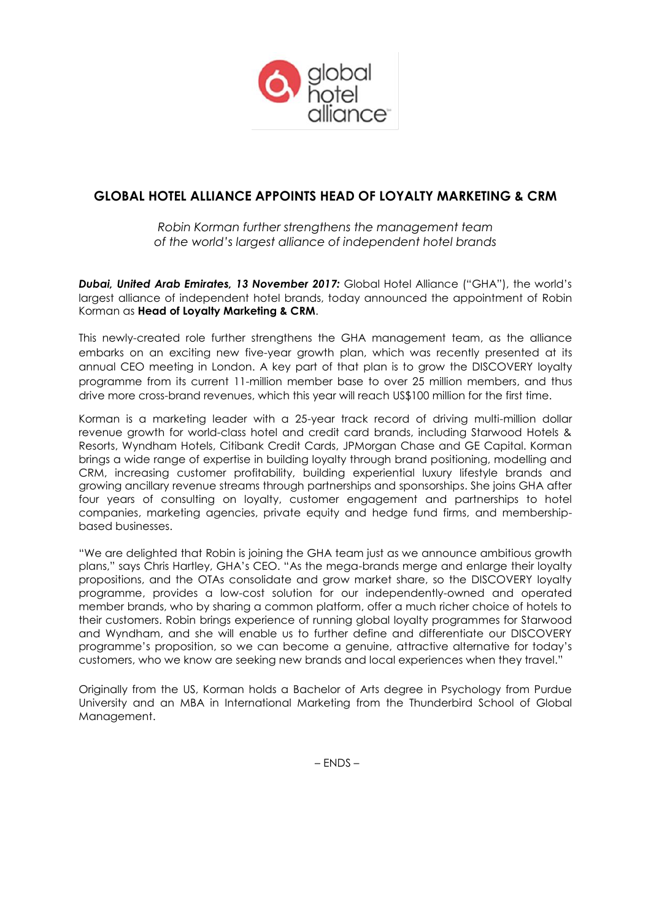

# **GLOBAL HOTEL ALLIANCE APPOINTS HEAD OF LOYALTY MARKETING & CRM**

*Robin Korman further strengthens the management team of the world's largest alliance of independent hotel brands*

*Dubai, United Arab Emirates, 13 November 2017:* Global Hotel Alliance ("GHA"), the world's largest alliance of independent hotel brands, today announced the appointment of Robin Korman as **Head of Loyalty Marketing & CRM**.

This newly-created role further strengthens the GHA management team, as the alliance embarks on an exciting new five-year growth plan, which was recently presented at its annual CEO meeting in London. A key part of that plan is to grow the DISCOVERY loyalty programme from its current 11-million member base to over 25 million members, and thus drive more cross-brand revenues, which this year will reach US\$100 million for the first time.

Korman is a marketing leader with a 25-year track record of driving multi-million dollar revenue growth for world-class hotel and credit card brands, including Starwood Hotels & Resorts, Wyndham Hotels, Citibank Credit Cards, JPMorgan Chase and GE Capital. Korman brings a wide range of expertise in building loyalty through brand positioning, modelling and CRM, increasing customer profitability, building experiential luxury lifestyle brands and growing ancillary revenue streams through partnerships and sponsorships. She joins GHA after four years of consulting on loyalty, customer engagement and partnerships to hotel companies, marketing agencies, private equity and hedge fund firms, and membershipbased businesses.

"We are delighted that Robin is joining the GHA team just as we announce ambitious growth plans," says Chris Hartley, GHA's CEO. "As the mega-brands merge and enlarge their loyalty propositions, and the OTAs consolidate and grow market share, so the DISCOVERY loyalty programme, provides a low-cost solution for our independently-owned and operated member brands, who by sharing a common platform, offer a much richer choice of hotels to their customers. Robin brings experience of running global loyalty programmes for Starwood and Wyndham, and she will enable us to further define and differentiate our DISCOVERY programme's proposition, so we can become a genuine, attractive alternative for today's customers, who we know are seeking new brands and local experiences when they travel."

Originally from the US, Korman holds a Bachelor of Arts degree in Psychology from Purdue University and an MBA in International Marketing from the Thunderbird School of Global Management.

– ENDS –